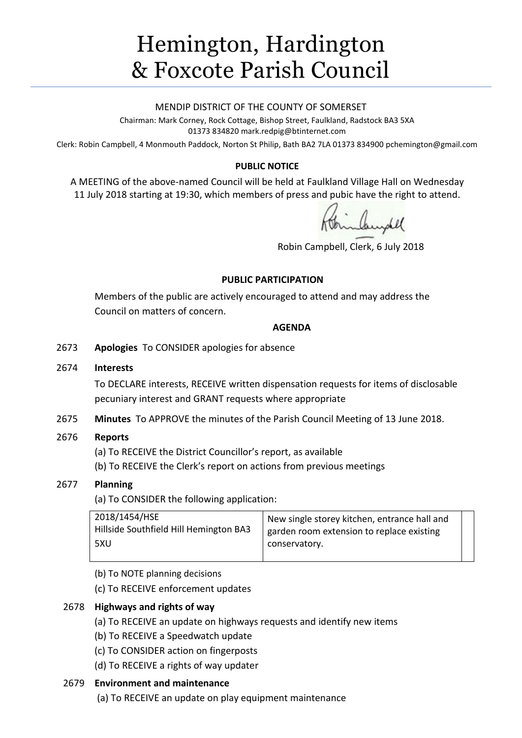# Hemington, Hardington & Foxcote Parish Council

#### MENDIP DISTRICT OF THE COUNTY OF SOMERSET

Chairman: Mark Corney, Rock Cottage, Bishop Street, Faulkland, Radstock BA3 5XA 01373 834820 mark.redpig@btinternet.com

Clerk: Robin Campbell, 4 Monmouth Paddock, Norton St Philip, Bath BA2 7LA 01373 834900 [pchemington@gmail.com](mailto:pchemington@gmail.com)

## **PUBLIC NOTICE**

A MEETING of the above-named Council will be held at Faulkland Village Hall on Wednesday 11 July 2018 starting at 19:30, which members of press and pubic have the right to attend.

Robin Campbell, Clerk, 6 July 2018

#### **PUBLIC PARTICIPATION**

Members of the public are actively encouraged to attend and may address the Council on matters of concern.

#### **AGENDA**

2673 **Apologies** To CONSIDER apologies for absence

#### 2674 **Interests**

To DECLARE interests, RECEIVE written dispensation requests for items of disclosable pecuniary interest and GRANT requests where appropriate

2675 **Minutes** To APPROVE the minutes of the Parish Council Meeting of 13 June 2018.

## 2676 **Reports**

(a) To RECEIVE the District Councillor's report, as available

(b) To RECEIVE the Clerk's report on actions from previous meetings

## 2677 **Planning**

(a) To CONSIDER the following application:

| 2018/1454/HSE                          | New single storey kitchen, entrance hall and |  |
|----------------------------------------|----------------------------------------------|--|
| Hillside Southfield Hill Hemington BA3 | garden room extension to replace existing    |  |
| 5XU                                    | conservatory.                                |  |
|                                        |                                              |  |

(b) To NOTE planning decisions

(c) To RECEIVE enforcement updates

## 2678 **Highways and rights of way**

- (a) To RECEIVE an update on highways requests and identify new items
- (b) To RECEIVE a Speedwatch update
- (c) To CONSIDER action on fingerposts
- (d) To RECEIVE a rights of way updater

## 2679 **Environment and maintenance**

(a) To RECEIVE an update on play equipment maintenance